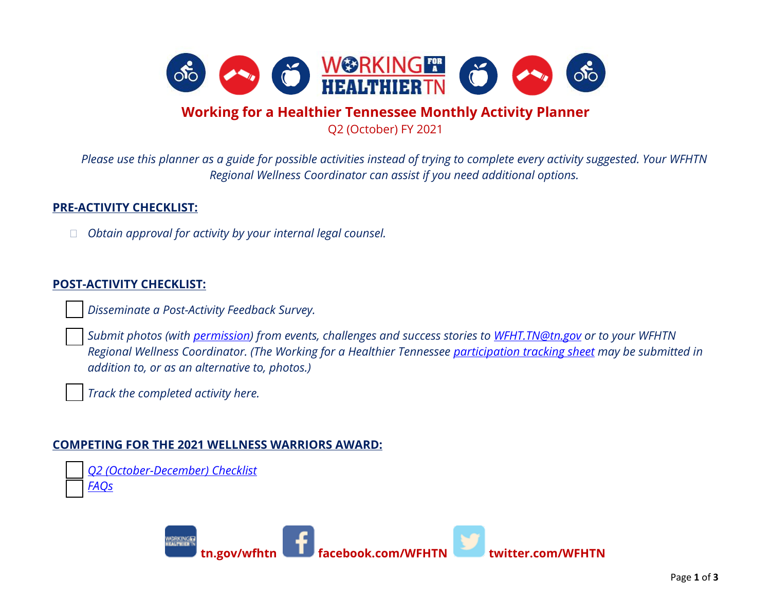

## **Working for a Healthier Tennessee Monthly Activity Planner**

Q2 (October) FY 2021

*Please use this planner as a guide for possible activities instead of trying to complete every activity suggested. Your WFHTN Regional Wellness Coordinator can assist if you need additional options.*

## **PRE-ACTIVITY CHECKLIST:**

*Obtain approval for activity by your internal legal counsel.* 

## **POST-ACTIVITY CHECKLIST:**

*Disseminate a Post-Activity Feedback Survey.*

 *Submit photos (with [permission\)](https://www.tn.gov/content/dam/tn/wfhtn/documents/WFHTN%20Photo%20Waiver%20Multi.pdf) from events, challenges and success stories to [WFHT.TN@tn.gov](mailto:WFHT.TN@tn.gov) or to your WFHTN Regional Wellness Coordinator. (The Working for a Healthier Tennessee [participation tracking sheet](https://www.tn.gov/content/dam/tn/wfhtn/documents/WFHT%20Participation%20Tracking%20Sheet.pdf) may be submitted in addition to, or as an alternative to, photos.)* 

*Track the completed activity here.* 

## **COMPETING FOR THE 2021 WELLNESS WARRIORS AWARD:**

 *Q2 [\(October-December\) Checklist](https://www.tn.gov/content/dam/tn/wfhtn/documents/wfhtn_2021_q2_wellness_warriors_award_checklist_final.pdf) [FAQs](https://www.tn.gov/content/dam/tn/wfhtn/documents/wfhtn_2021_wellness%20warriors_award_faqs_final.pdf)*

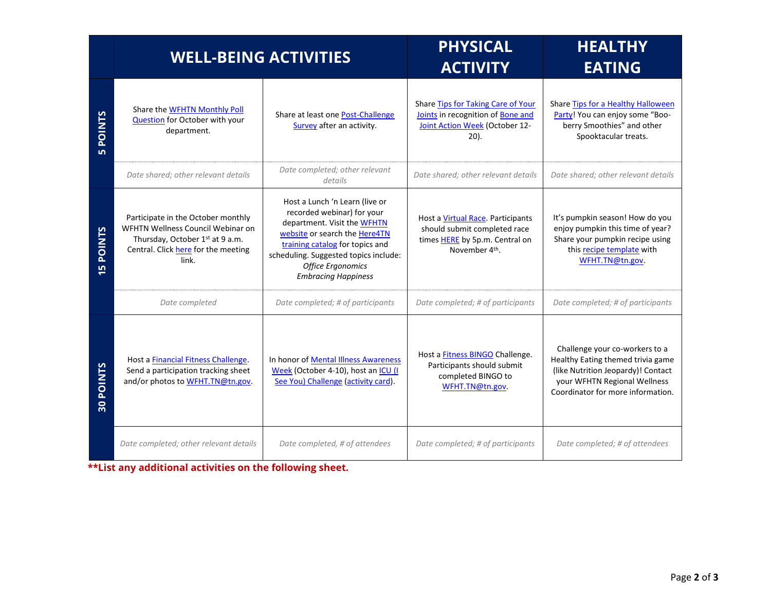|                                | <b>WELL-BEING ACTIVITIES</b>                                                                                                                               |                                                                                                                                                                                                                                                                    | <b>PHYSICAL</b><br><b>ACTIVITY</b>                                                                                                | <b>HEALTHY</b><br><b>EATING</b>                                                                                                                                                |
|--------------------------------|------------------------------------------------------------------------------------------------------------------------------------------------------------|--------------------------------------------------------------------------------------------------------------------------------------------------------------------------------------------------------------------------------------------------------------------|-----------------------------------------------------------------------------------------------------------------------------------|--------------------------------------------------------------------------------------------------------------------------------------------------------------------------------|
| <b>POINTS</b>                  | Share the WFHTN Monthly Poll<br><b>Question</b> for October with your<br>department.                                                                       | Share at least one Post-Challenge<br>Survey after an activity.                                                                                                                                                                                                     | Share Tips for Taking Care of Your<br>Joints in recognition of Bone and<br>Joint Action Week (October 12-<br>$20$ ).              | Share Tips for a Healthy Halloween<br>Party! You can enjoy some "Boo-<br>berry Smoothies" and other<br>Spooktacular treats.                                                    |
|                                | Date shared; other relevant details                                                                                                                        | Date completed; other relevant<br>details                                                                                                                                                                                                                          | Date shared; other relevant details                                                                                               | Date shared; other relevant details                                                                                                                                            |
| <b>POINTS</b><br><b>LO</b>     | Participate in the October monthly<br>WFHTN Wellness Council Webinar on<br>Thursday, October 1st at 9 a.m.<br>Central. Click here for the meeting<br>link. | Host a Lunch 'n Learn (live or<br>recorded webinar) for your<br>department. Visit the WFHTN<br>website or search the Here4TN<br>training catalog for topics and<br>scheduling. Suggested topics include:<br><b>Office Ergonomics</b><br><b>Embracing Happiness</b> | Host a Virtual Race. Participants<br>should submit completed race<br>times HERE by 5p.m. Central on<br>November 4 <sup>th</sup> . | It's pumpkin season! How do you<br>enjoy pumpkin this time of year?<br>Share your pumpkin recipe using<br>this recipe template with<br>WFHT.TN@tn.gov.                         |
|                                | Date completed                                                                                                                                             | Date completed; # of participants                                                                                                                                                                                                                                  | Date completed; # of participants                                                                                                 | Date completed; # of participants                                                                                                                                              |
| <b>POINTS</b><br>$\frac{1}{2}$ | Host a Financial Fitness Challenge.<br>Send a participation tracking sheet<br>and/or photos to WFHT.TN@tn.gov.                                             | In honor of Mental Illness Awareness<br>Week (October 4-10), host an ICU (I<br>See You) Challenge (activity card).                                                                                                                                                 | Host a <b>Fitness BINGO</b> Challenge.<br>Participants should submit<br>completed BINGO to<br>WFHT.TN@tn.gov.                     | Challenge your co-workers to a<br>Healthy Eating themed trivia game<br>(like Nutrition Jeopardy)! Contact<br>your WFHTN Regional Wellness<br>Coordinator for more information. |
|                                | Date completed; other relevant details                                                                                                                     | Date completed, # of attendees                                                                                                                                                                                                                                     | Date completed; # of participants                                                                                                 | Date completed; # of attendees                                                                                                                                                 |

**\*\*List any additional activities on the following sheet.**